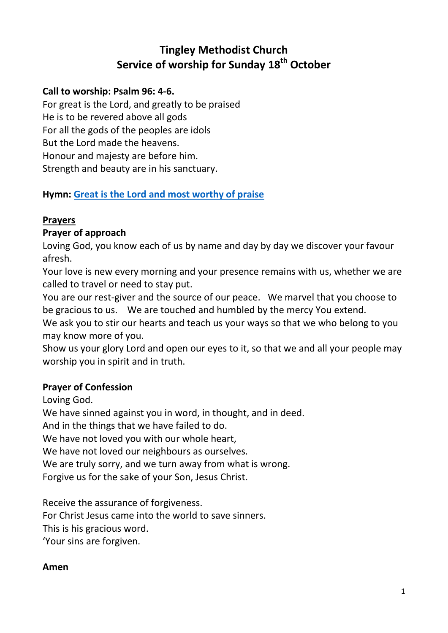# **Tingley Methodist Church Service of worship for Sunday 18th October**

#### **Call to worship: Psalm 96: 4-6.**

For great is the Lord, and greatly to be praised He is to be revered above all gods For all the gods of the peoples are idols But the Lord made the heavens. Honour and majesty are before him. Strength and beauty are in his sanctuary.

## **Hymn: [Great is the Lord and most worthy of praise](https://www.youtube.com/watch?v=NdcR87NoxwY)**

## **Prayers**

#### **Prayer of approach**

Loving God, you know each of us by name and day by day we discover your favour afresh.

Your love is new every morning and your presence remains with us, whether we are called to travel or need to stay put.

You are our rest-giver and the source of our peace. We marvel that you choose to be gracious to us. We are touched and humbled by the mercy You extend.

We ask you to stir our hearts and teach us your ways so that we who belong to you may know more of you.

Show us your glory Lord and open our eyes to it, so that we and all your people may worship you in spirit and in truth.

#### **Prayer of Confession**

Loving God.

We have sinned against you in word, in thought, and in deed.

And in the things that we have failed to do.

We have not loved you with our whole heart,

We have not loved our neighbours as ourselves.

We are truly sorry, and we turn away from what is wrong.

Forgive us for the sake of your Son, Jesus Christ.

Receive the assurance of forgiveness. For Christ Jesus came into the world to save sinners. This is his gracious word. 'Your sins are forgiven.

#### **Amen**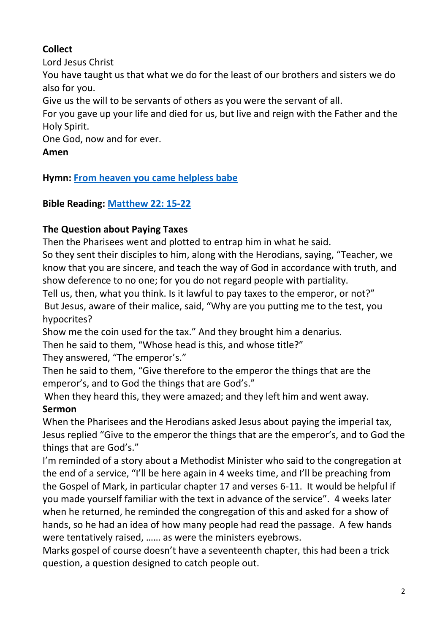## **Collect**

Lord Jesus Christ

You have taught us that what we do for the least of our brothers and sisters we do also for you.

Give us the will to be servants of others as you were the servant of all.

For you gave up your life and died for us, but live and reign with the Father and the Holy Spirit.

One God, now and for ever.

## **Amen**

## **Hymn: [From heaven you came helpless babe](https://www.youtube.com/watch?v=vpwfDXcKrNQ)**

## **Bible Reading: [Matthew 22: 15-22](https://www.biblegateway.com/passage/?search=Matthew+22%3A+15-22&version=NIV)**

## **The Question about Paying Taxes**

Then the Pharisees went and plotted to entrap him in what he said.

So they sent their disciples to him, along with the Herodians, saying, "Teacher, we know that you are sincere, and teach the way of God in accordance with truth, and show deference to no one; for you do not regard people with partiality.

Tell us, then, what you think. Is it lawful to pay taxes to the emperor, or not?" But Jesus, aware of their malice, said, "Why are you putting me to the test, you hypocrites?

Show me the coin used for the tax." And they brought him a denarius.

Then he said to them, "Whose head is this, and whose title?"

They answered, "The emperor's."

Then he said to them, "Give therefore to the emperor the things that are the emperor's, and to God the things that are God's."

When they heard this, they were amazed; and they left him and went away.

## **Sermon**

When the Pharisees and the Herodians asked Jesus about paying the imperial tax, Jesus replied "Give to the emperor the things that are the emperor's, and to God the things that are God's."

I'm reminded of a story about a Methodist Minister who said to the congregation at the end of a service, "I'll be here again in 4 weeks time, and I'll be preaching from the Gospel of Mark, in particular chapter 17 and verses 6-11. It would be helpful if you made yourself familiar with the text in advance of the service". 4 weeks later when he returned, he reminded the congregation of this and asked for a show of hands, so he had an idea of how many people had read the passage. A few hands were tentatively raised, …… as were the ministers eyebrows.

Marks gospel of course doesn't have a seventeenth chapter, this had been a trick question, a question designed to catch people out.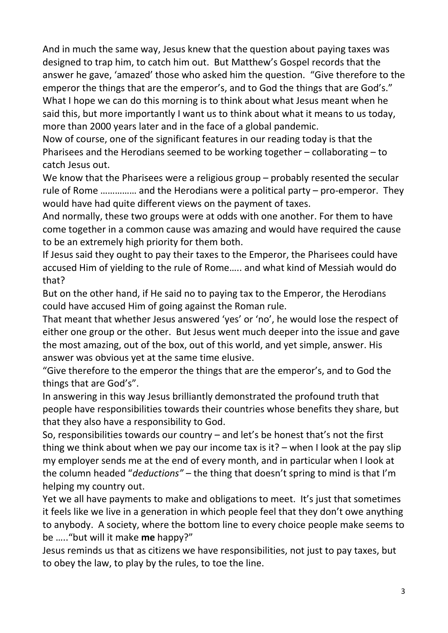And in much the same way, Jesus knew that the question about paying taxes was designed to trap him, to catch him out. But Matthew's Gospel records that the answer he gave, 'amazed' those who asked him the question. "Give therefore to the emperor the things that are the emperor's, and to God the things that are God's." What I hope we can do this morning is to think about what Jesus meant when he said this, but more importantly I want us to think about what it means to us today, more than 2000 years later and in the face of a global pandemic.

Now of course, one of the significant features in our reading today is that the Pharisees and the Herodians seemed to be working together – collaborating – to catch Jesus out.

We know that the Pharisees were a religious group – probably resented the secular rule of Rome …………… and the Herodians were a political party – pro-emperor. They would have had quite different views on the payment of taxes.

And normally, these two groups were at odds with one another. For them to have come together in a common cause was amazing and would have required the cause to be an extremely high priority for them both.

If Jesus said they ought to pay their taxes to the Emperor, the Pharisees could have accused Him of yielding to the rule of Rome….. and what kind of Messiah would do that?

But on the other hand, if He said no to paying tax to the Emperor, the Herodians could have accused Him of going against the Roman rule.

That meant that whether Jesus answered 'yes' or 'no', he would lose the respect of either one group or the other. But Jesus went much deeper into the issue and gave the most amazing, out of the box, out of this world, and yet simple, answer. His answer was obvious yet at the same time elusive.

"Give therefore to the emperor the things that are the emperor's, and to God the things that are God's".

In answering in this way Jesus brilliantly demonstrated the profound truth that people have responsibilities towards their countries whose benefits they share, but that they also have a responsibility to God.

So, responsibilities towards our country – and let's be honest that's not the first thing we think about when we pay our income tax is it? – when I look at the pay slip my employer sends me at the end of every month, and in particular when I look at the column headed "*deductions"* – the thing that doesn't spring to mind is that I'm helping my country out.

Yet we all have payments to make and obligations to meet. It's just that sometimes it feels like we live in a generation in which people feel that they don't owe anything to anybody. A society, where the bottom line to every choice people make seems to be ….."but will it make **me** happy?"

Jesus reminds us that as citizens we have responsibilities, not just to pay taxes, but to obey the law, to play by the rules, to toe the line.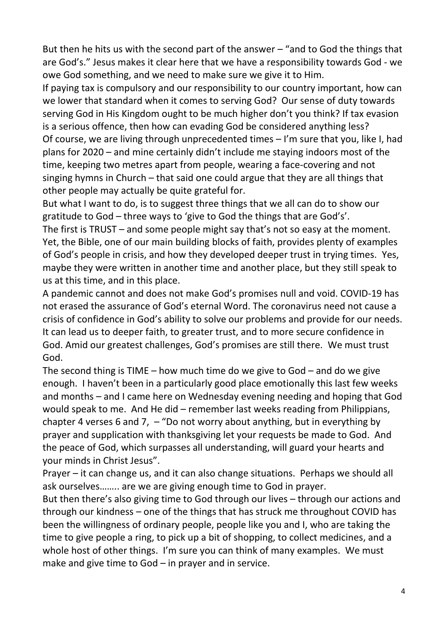But then he hits us with the second part of the answer – "and to God the things that are God's." Jesus makes it clear here that we have a responsibility towards God - we owe God something, and we need to make sure we give it to Him.

If paying tax is compulsory and our responsibility to our country important, how can we lower that standard when it comes to serving God? Our sense of duty towards serving God in His Kingdom ought to be much higher don't you think? If tax evasion is a serious offence, then how can evading God be considered anything less? Of course, we are living through unprecedented times – I'm sure that you, like I, had plans for 2020 – and mine certainly didn't include me staying indoors most of the time, keeping two metres apart from people, wearing a face-covering and not singing hymns in Church – that said one could argue that they are all things that other people may actually be quite grateful for.

But what I want to do, is to suggest three things that we all can do to show our gratitude to God – three ways to 'give to God the things that are God's'.

The first is TRUST – and some people might say that's not so easy at the moment. Yet, the Bible, one of our main building blocks of faith, provides plenty of examples of God's people in crisis, and how they developed deeper trust in trying times. Yes, maybe they were written in another time and another place, but they still speak to us at this time, and in this place.

A pandemic cannot and does not make God's promises null and void. COVID-19 has not erased the assurance of God's eternal Word. The coronavirus need not cause a crisis of confidence in God's ability to solve our problems and provide for our needs. It can lead us to deeper faith, to greater trust, and to more secure confidence in God. Amid our greatest challenges, God's promises are still there. We must trust God.

The second thing is TIME – how much time do we give to God – and do we give enough. I haven't been in a particularly good place emotionally this last few weeks and months – and I came here on Wednesday evening needing and hoping that God would speak to me. And He did – remember last weeks reading from Philippians, chapter 4 verses 6 and 7,  $-$  "Do not worry about anything, but in everything by prayer and supplication with thanksgiving let your requests be made to God. And the peace of God, which surpasses all understanding, will guard your hearts and your minds in Christ Jesus".

Prayer – it can change us, and it can also change situations. Perhaps we should all ask ourselves…….. are we are giving enough time to God in prayer.

But then there's also giving time to God through our lives – through our actions and through our kindness – one of the things that has struck me throughout COVID has been the willingness of ordinary people, people like you and I, who are taking the time to give people a ring, to pick up a bit of shopping, to collect medicines, and a whole host of other things. I'm sure you can think of many examples. We must make and give time to God – in prayer and in service.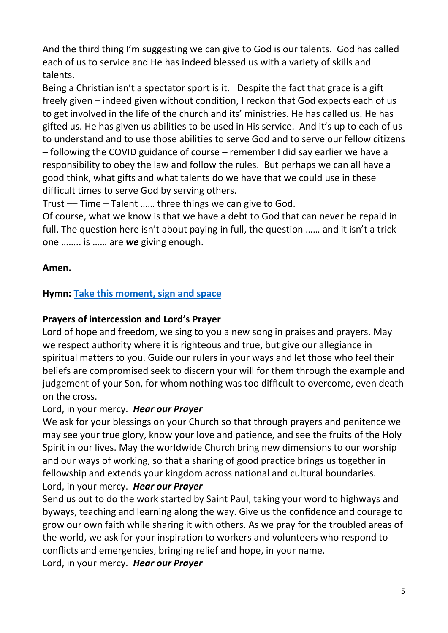And the third thing I'm suggesting we can give to God is our talents. God has called each of us to service and He has indeed blessed us with a variety of skills and talents.

Being a Christian isn't a spectator sport is it. Despite the fact that grace is a gift freely given – indeed given without condition, I reckon that God expects each of us to get involved in the life of the church and its' ministries. He has called us. He has gifted us. He has given us abilities to be used in His service. And it's up to each of us to understand and to use those abilities to serve God and to serve our fellow citizens – following the COVID guidance of course – remember I did say earlier we have a responsibility to obey the law and follow the rules. But perhaps we can all have a good think, what gifts and what talents do we have that we could use in these difficult times to serve God by serving others.

Trust –– Time – Talent …… three things we can give to God.

Of course, what we know is that we have a debt to God that can never be repaid in full. The question here isn't about paying in full, the question …… and it isn't a trick one …….. is …… are *we* giving enough.

## **Amen.**

## **Hymn: [Take this moment, sign and space](https://www.youtube.com/watch?v=NbZ6gGG0V-o)**

#### **Prayers of intercession and Lord's Prayer**

Lord of hope and freedom, we sing to you a new song in praises and prayers. May we respect authority where it is righteous and true, but give our allegiance in spiritual matters to you. Guide our rulers in your ways and let those who feel their beliefs are compromised seek to discern your will for them through the example and judgement of your Son, for whom nothing was too difficult to overcome, even death on the cross.

#### Lord, in your mercy. *Hear our Prayer*

We ask for your blessings on your Church so that through prayers and penitence we may see your true glory, know your love and patience, and see the fruits of the Holy Spirit in our lives. May the worldwide Church bring new dimensions to our worship and our ways of working, so that a sharing of good practice brings us together in fellowship and extends your kingdom across national and cultural boundaries. Lord, in your mercy. *Hear our Prayer*

Send us out to do the work started by Saint Paul, taking your word to highways and byways, teaching and learning along the way. Give us the confidence and courage to grow our own faith while sharing it with others. As we pray for the troubled areas of the world, we ask for your inspiration to workers and volunteers who respond to conflicts and emergencies, bringing relief and hope, in your name.

Lord, in your mercy. *Hear our Prayer*